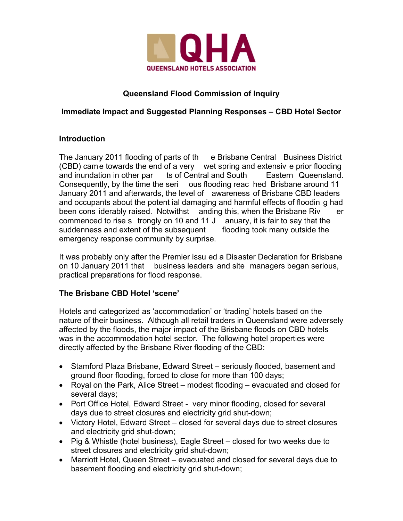

# **Queensland Flood Commission of Inquiry**

## **Immediate Impact and Suggested Planning Responses – CBD Hotel Sector**

#### **Introduction**

The January 2011 flooding of parts of th e Brisbane Central Business District (CBD) came towards the end of a very wet spring and extensiv e prior flooding and inundation in other par ts of Central and South Eastern Queensland. Consequently, by the time the seri ous flooding reac hed Brisbane around 11 January 2011 and afterwards, the level of awareness of Brisbane CBD leaders and occupants about the potent ial damaging and harmful effects of floodin g had been cons iderably raised. Notwithst anding this, when the Brisbane Riv er commenced to rise s trongly on 10 and 11 J anuary, it is fair to say that the suddenness and extent of the subsequent flooding took many outside the emergency response community by surprise.

It was probably only after the Premier issu ed a Disaster Declaration for Brisbane on 10 January 2011 that business leaders and site managers began serious, practical preparations for flood response.

## **The Brisbane CBD Hotel 'scene'**

Hotels and categorized as 'accommodation' or 'trading' hotels based on the nature of their business. Although all retail traders in Queensland were adversely affected by the floods, the major impact of the Brisbane floods on CBD hotels was in the accommodation hotel sector. The following hotel properties were directly affected by the Brisbane River flooding of the CBD:

- Stamford Plaza Brisbane, Edward Street seriously flooded, basement and ground floor flooding, forced to close for more than 100 days;
- Royal on the Park, Alice Street modest flooding evacuated and closed for several days;
- Port Office Hotel, Edward Street very minor flooding, closed for several days due to street closures and electricity grid shut-down;
- Victory Hotel, Edward Street closed for several days due to street closures and electricity grid shut-down;
- Pig & Whistle (hotel business), Eagle Street closed for two weeks due to street closures and electricity grid shut-down;
- Marriott Hotel, Queen Street evacuated and closed for several days due to basement flooding and electricity grid shut-down;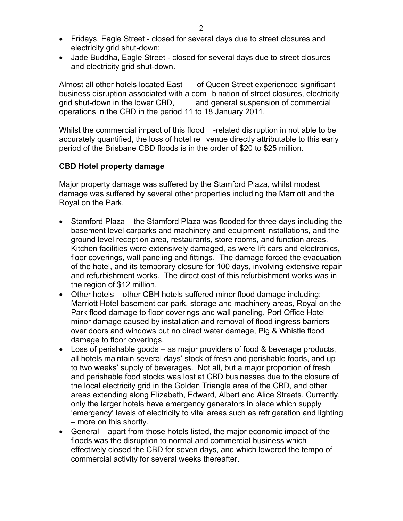- Fridays, Eagle Street closed for several days due to street closures and electricity grid shut-down;
- Jade Buddha, Eagle Street closed for several days due to street closures and electricity grid shut-down.

Almost all other hotels located East of Queen Street experienced significant business disruption associated with a com bination of street closures, electricity grid shut-down in the lower CBD, and general suspension of commercial operations in the CBD in the period 11 to 18 January 2011.

Whilst the commercial impact of this flood -related dis ruption in not able to be accurately quantified, the loss of hotel re venue directly attributable to this early period of the Brisbane CBD floods is in the order of \$20 to \$25 million.

#### **CBD Hotel property damage**

Major property damage was suffered by the Stamford Plaza, whilst modest damage was suffered by several other properties including the Marriott and the Royal on the Park.

- Stamford Plaza the Stamford Plaza was flooded for three days including the basement level carparks and machinery and equipment installations, and the ground level reception area, restaurants, store rooms, and function areas. Kitchen facilities were extensively damaged, as were lift cars and electronics, floor coverings, wall paneling and fittings. The damage forced the evacuation of the hotel, and its temporary closure for 100 days, involving extensive repair and refurbishment works. The direct cost of this refurbishment works was in the region of \$12 million.
- Other hotels other CBH hotels suffered minor flood damage including: Marriott Hotel basement car park, storage and machinery areas, Royal on the Park flood damage to floor coverings and wall paneling, Port Office Hotel minor damage caused by installation and removal of flood ingress barriers over doors and windows but no direct water damage, Pig & Whistle flood damage to floor coverings.
- Loss of perishable goods as major providers of food & beverage products, all hotels maintain several days' stock of fresh and perishable foods, and up to two weeks' supply of beverages. Not all, but a major proportion of fresh and perishable food stocks was lost at CBD businesses due to the closure of the local electricity grid in the Golden Triangle area of the CBD, and other areas extending along Elizabeth, Edward, Albert and Alice Streets. Currently, only the larger hotels have emergency generators in place which supply 'emergency' levels of electricity to vital areas such as refrigeration and lighting – more on this shortly.
- General apart from those hotels listed, the major economic impact of the floods was the disruption to normal and commercial business which effectively closed the CBD for seven days, and which lowered the tempo of commercial activity for several weeks thereafter.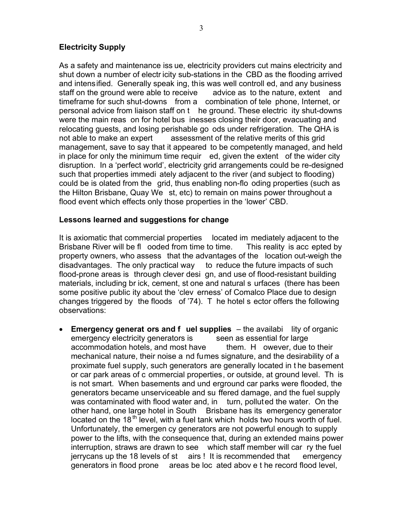## **Electricity Supply**

As a safety and maintenance iss ue, electricity providers cut mains electricity and shut down a number of electr icity sub-stations in the CBD as the flooding arrived and intensified. Generally speak ing, this was well controll ed, and any business staff on the ground were able to receive advice as to the nature, extent and timeframe for such shut-downs from a combination of tele phone, Internet, or personal advice from liaison staff on t he ground. These electric ity shut-downs were the main reas on for hotel bus inesses closing their door, evacuating and relocating guests, and losing perishable go ods under refrigeration. The QHA is not able to make an expert assessment of the relative merits of this grid management, save to say that it appeared to be competently managed, and held in place for only the minimum time requir ed, given the extent of the wider city disruption. In a 'perfect world', electricity grid arrangements could be re-designed such that properties immedi ately adjacent to the river (and subject to flooding) could be is olated from the grid, thus enabling non-flo oding properties (such as the Hilton Brisbane, Quay We st, etc) to remain on mains power throughout a flood event which effects only those properties in the 'lower' CBD.

#### **Lessons learned and suggestions for change**

It is axiomatic that commercial properties located im mediately adjacent to the Brisbane River will be fl ooded from time to time. This reality is acc epted by property owners, who assess that the advantages of the location out-weigh the disadvantages. The only practical way to reduce the future impacts of such flood-prone areas is through clever desi gn, and use of flood-resistant building materials, including br ick, cement, st one and natural s urfaces (there has been some positive public ity about the 'clev erness' of Comalco Place due to design changes triggered by the floods of '74). T he hotel s ector offers the following observations:

 **Emergency generat ors and f uel supplies** – the availabi lity of organic emergency electricity generators is seen as essential for large accommodation hotels, and most have them. H owever, due to their mechanical nature, their noise a nd fumes signature, and the desirability of a proximate fuel supply, such generators are generally located in t he basement or car park areas of c ommercial properties, or outside, at ground level. Th is is not smart. When basements and und erground car parks were flooded, the generators became unserviceable and su ffered damage, and the fuel supply was contaminated with flood water and, in turn, polluted the water. On the other hand, one large hotel in South Brisbane has its emergency generator located on the 18<sup>th</sup> level, with a fuel tank which holds two hours worth of fuel. Unfortunately, the emergen cy generators are not powerful enough to supply power to the lifts, with the consequence that, during an extended mains power interruption, straws are drawn to see which staff member will car ry the fuel jerrycans up the 18 levels of st airs ! It is recommended that emergency generators in flood prone areas be loc ated abov e t he record flood level,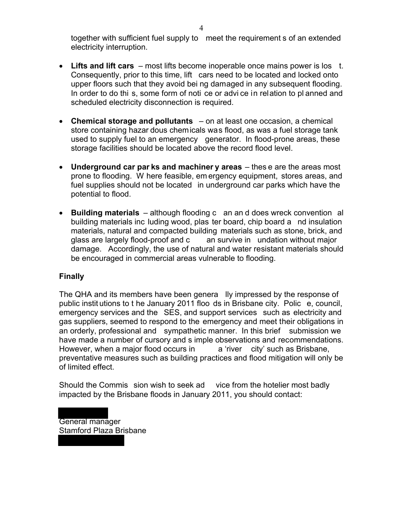together with sufficient fuel supply to meet the requirement s of an extended electricity interruption.

- **Lifts and lift cars** most lifts become inoperable once mains power is los t. Consequently, prior to this time, lift cars need to be located and locked onto upper floors such that they avoid bei ng damaged in any subsequent flooding. In order to do thi s, some form of noti ce or advi ce in relation to pl anned and scheduled electricity disconnection is required.
- **Chemical storage and pollutants** on at least one occasion, a chemical store containing hazar dous chemicals was flood, as was a fuel storage tank used to supply fuel to an emergency generator. In flood-prone areas, these storage facilities should be located above the record flood level.
- **Underground car par ks and machiner y areas** thes e are the areas most prone to flooding. W here feasible, em ergency equipment, stores areas, and fuel supplies should not be located in underground car parks which have the potential to flood.
- **Building materials** although flooding c an an d does wreck convention al building materials inc luding wood, plas ter board, chip board a nd insulation materials, natural and compacted building materials such as stone, brick, and glass are largely flood-proof and c an survive in undation without major damage. Accordingly, the use of natural and water resistant materials should be encouraged in commercial areas vulnerable to flooding.

#### **Finally**

The QHA and its members have been genera lly impressed by the response of public instit utions to t he January 2011 floo ds in Brisbane city. Polic e, council, emergency services and the SES, and support services such as electricity and gas suppliers, seemed to respond to the emergency and meet their obligations in an orderly, professional and sympathetic manner. In this brief submission we have made a number of cursory and s imple observations and recommendations. However, when a major flood occurs in a 'river city' such as Brisbane, preventative measures such as building practices and flood mitigation will only be of limited effect.

Should the Commis sion wish to seek ad vice from the hotelier most badly impacted by the Brisbane floods in January 2011, you should contact:

General manager Stamford Plaza Brisbane